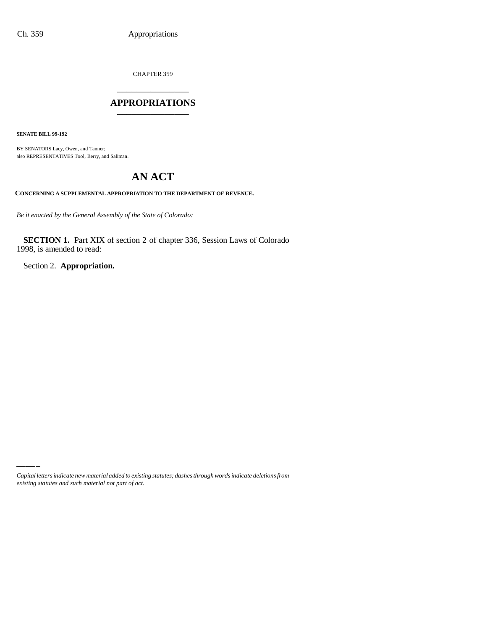CHAPTER 359

# \_\_\_\_\_\_\_\_\_\_\_\_\_\_\_ **APPROPRIATIONS** \_\_\_\_\_\_\_\_\_\_\_\_\_\_\_

**SENATE BILL 99-192**

BY SENATORS Lacy, Owen, and Tanner; also REPRESENTATIVES Tool, Berry, and Saliman.

# **AN ACT**

**CONCERNING A SUPPLEMENTAL APPROPRIATION TO THE DEPARTMENT OF REVENUE.**

*Be it enacted by the General Assembly of the State of Colorado:*

**SECTION 1.** Part XIX of section 2 of chapter 336, Session Laws of Colorado 1998, is amended to read:

Section 2. **Appropriation.**

*Capital letters indicate new material added to existing statutes; dashes through words indicate deletions from existing statutes and such material not part of act.*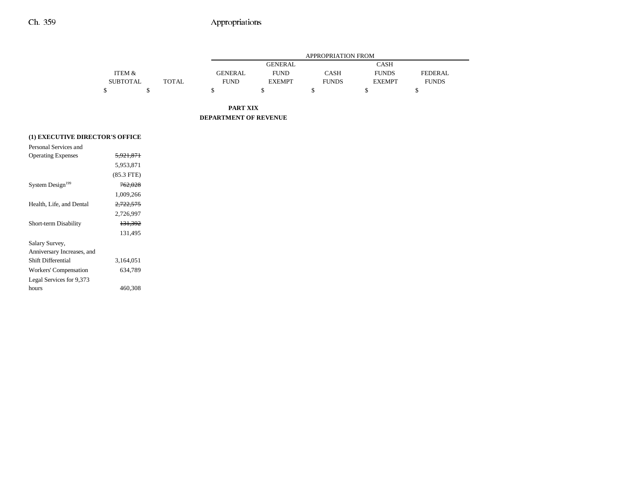Ξ,

|                                              |                 |              |                       |                | APPROPRIATION FROM |               |                |
|----------------------------------------------|-----------------|--------------|-----------------------|----------------|--------------------|---------------|----------------|
|                                              |                 |              |                       | <b>GENERAL</b> |                    | CASH          |                |
|                                              | ITEM &          |              | <b>GENERAL</b>        | <b>FUND</b>    | <b>CASH</b>        | <b>FUNDS</b>  | <b>FEDERAL</b> |
|                                              | <b>SUBTOTAL</b> | <b>TOTAL</b> | <b>FUND</b>           | <b>EXEMPT</b>  | <b>FUNDS</b>       | <b>EXEMPT</b> | <b>FUNDS</b>   |
|                                              | \$              | \$           | \$                    | \$             | \$                 | \$            | \$             |
|                                              |                 |              | <b>PART XIX</b>       |                |                    |               |                |
|                                              |                 |              | DEPARTMENT OF REVENUE |                |                    |               |                |
| (1) EXECUTIVE DIRECTOR'S OFFICE              |                 |              |                       |                |                    |               |                |
| Personal Services and                        |                 |              |                       |                |                    |               |                |
| <b>Operating Expenses</b>                    | 5,921,871       |              |                       |                |                    |               |                |
|                                              | 5,953,871       |              |                       |                |                    |               |                |
|                                              | $(85.3$ FTE)    |              |                       |                |                    |               |                |
| System Design <sup>199</sup>                 | 762,028         |              |                       |                |                    |               |                |
|                                              | 1,009,266       |              |                       |                |                    |               |                |
| Health, Life, and Dental                     | 2,722,575       |              |                       |                |                    |               |                |
|                                              | 2,726,997       |              |                       |                |                    |               |                |
| Short-term Disability                        | 131,392         |              |                       |                |                    |               |                |
|                                              | 131,495         |              |                       |                |                    |               |                |
| Salary Survey,<br>Anniversary Increases, and |                 |              |                       |                |                    |               |                |
| Shift Differential                           | 3,164,051       |              |                       |                |                    |               |                |
| Workers' Compensation                        | 634,789         |              |                       |                |                    |               |                |
| Legal Services for 9,373                     |                 |              |                       |                |                    |               |                |
| hours                                        | 460,308         |              |                       |                |                    |               |                |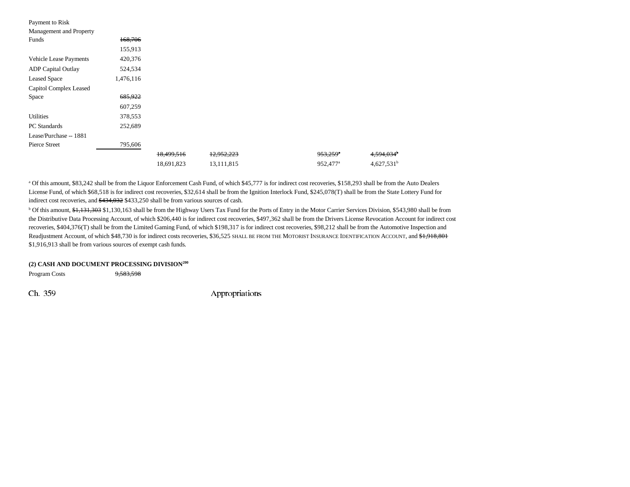| Payment to Risk           |           |            |            |                      |                        |
|---------------------------|-----------|------------|------------|----------------------|------------------------|
| Management and Property   |           |            |            |                      |                        |
| Funds                     | 168,706   |            |            |                      |                        |
|                           | 155,913   |            |            |                      |                        |
| Vehicle Lease Payments    | 420,376   |            |            |                      |                        |
| <b>ADP</b> Capital Outlay | 524,534   |            |            |                      |                        |
| <b>Leased Space</b>       | 1,476,116 |            |            |                      |                        |
| Capitol Complex Leased    |           |            |            |                      |                        |
| Space                     | 685,922   |            |            |                      |                        |
|                           | 607,259   |            |            |                      |                        |
| Utilities                 | 378,553   |            |            |                      |                        |
| <b>PC</b> Standards       | 252,689   |            |            |                      |                        |
| Lease/Purchase -- 1881    |           |            |            |                      |                        |
| Pierce Street             | 795,606   |            |            |                      |                        |
|                           |           | 18,499,516 | 12,952,223 | 953,259 <sup>*</sup> | 4,594,034 <sup>b</sup> |
|                           |           | 18,691,823 | 13,111,815 | 952,477 <sup>a</sup> | $4,627,531^b$          |

a Of this amount, \$83,242 shall be from the Liquor Enforcement Cash Fund, of which \$45,777 is for indirect cost recoveries, \$158,293 shall be from the Auto Dealers License Fund, of which \$68,518 is for indirect cost recoveries, \$32,614 shall be from the Ignition Interlock Fund, \$245,078(T) shall be from the State Lottery Fund for indirect cost recoveries, and \$434,032 \$433,250 shall be from various sources of cash.

<sup>b</sup> Of this amount, \$1,131,303 \$1,130,163 shall be from the Highway Users Tax Fund for the Ports of Entry in the Motor Carrier Services Division, \$543,980 shall be from the Distributive Data Processing Account, of which \$206,440 is for indirect cost recoveries, \$497,362 shall be from the Drivers License Revocation Account for indirect cost recoveries, \$404,376(T) shall be from the Limited Gaming Fund, of which \$198,317 is for indirect cost recoveries, \$98,212 shall be from the Automotive Inspection and Readjustment Account, of which \$48,730 is for indirect costs recoveries, \$36,525 SHALL BE FROM THE MOTORIST INSURANCE IDENTIFICATION ACCOUNT, and <del>\$1,918,801</del> \$1,916,913 shall be from various sources of exempt cash funds.

#### **(2) CASH AND DOCUMENT PROCESSING DIVISION200**

Program Costs 9,583,598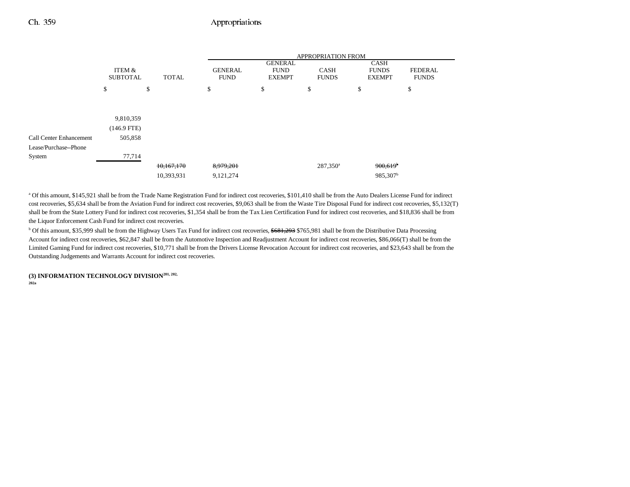|                         |                           |              | APPROPRIATION FROM            |                                                |                             |                                              |                         |
|-------------------------|---------------------------|--------------|-------------------------------|------------------------------------------------|-----------------------------|----------------------------------------------|-------------------------|
|                         | ITEM &<br><b>SUBTOTAL</b> | <b>TOTAL</b> | <b>GENERAL</b><br><b>FUND</b> | <b>GENERAL</b><br><b>FUND</b><br><b>EXEMPT</b> | <b>CASH</b><br><b>FUNDS</b> | <b>CASH</b><br><b>FUNDS</b><br><b>EXEMPT</b> | FEDERAL<br><b>FUNDS</b> |
|                         | \$                        | \$           | \$                            | \$                                             | \$                          | \$                                           | \$                      |
|                         |                           |              |                               |                                                |                             |                                              |                         |
|                         | 9,810,359                 |              |                               |                                                |                             |                                              |                         |
|                         | $(146.9$ FTE)             |              |                               |                                                |                             |                                              |                         |
| Call Center Enhancement | 505,858                   |              |                               |                                                |                             |                                              |                         |
| Lease/Purchase--Phone   |                           |              |                               |                                                |                             |                                              |                         |
| System                  | 77,714                    |              |                               |                                                |                             |                                              |                         |
|                         |                           | 10,167,170   | 8,979,201                     |                                                | $287,350^{\circ}$           | $900,619$ <sup>b</sup>                       |                         |
|                         |                           | 10,393,931   | 9,121,274                     |                                                |                             | 985,307 <sup>b</sup>                         |                         |

a Of this amount, \$145,921 shall be from the Trade Name Registration Fund for indirect cost recoveries, \$101,410 shall be from the Auto Dealers License Fund for indirect cost recoveries, \$5,634 shall be from the Aviation Fund for indirect cost recoveries, \$9,063 shall be from the Waste Tire Disposal Fund for indirect cost recoveries, \$5,132(T) shall be from the State Lottery Fund for indirect cost recoveries, \$1,354 shall be from the Tax Lien Certification Fund for indirect cost recoveries, and \$18,836 shall be from the Liquor Enforcement Cash Fund for indirect cost recoveries.

<sup>b</sup> Of this amount, \$35,999 shall be from the Highway Users Tax Fund for indirect cost recoveries, \$681,293 \$765,981 shall be from the Distributive Data Processing Account for indirect cost recoveries, \$62,847 shall be from the Automotive Inspection and Readjustment Account for indirect cost recoveries, \$86,066(T) shall be from the Limited Gaming Fund for indirect cost recoveries, \$10,771 shall be from the Drivers License Revocation Account for indirect cost recoveries, and \$23,643 shall be from the Outstanding Judgements and Warrants Account for indirect cost recoveries.

**(3) INFORMATION TECHNOLOGY DIVISION201, 202,**

**202a**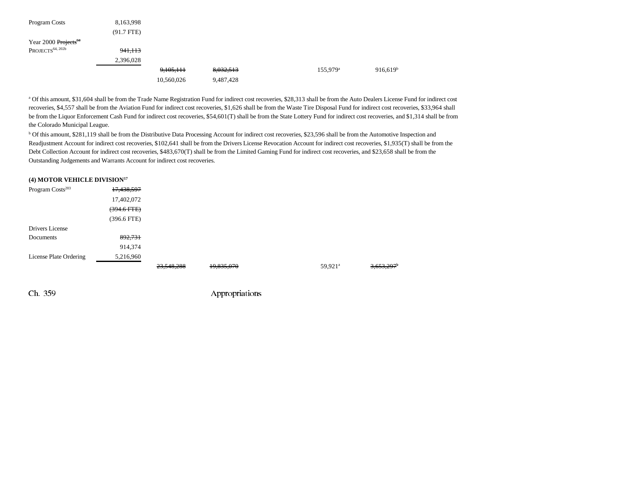| Program Costs                    | 8,163,998          |            |           |                      |                      |
|----------------------------------|--------------------|------------|-----------|----------------------|----------------------|
|                                  | $(91.7$ FTE)       |            |           |                      |                      |
| Year 2000 Projects <sup>64</sup> |                    |            |           |                      |                      |
| PROJECTS <sup>64, 202b</sup>     | <del>941.113</del> |            |           |                      |                      |
|                                  | 2,396,028          |            |           |                      |                      |
|                                  |                    | 9,105,111  | 8,032,513 | 155,979 <sup>a</sup> | 916,619 <sup>b</sup> |
|                                  |                    | 10,560,026 | 9,487,428 |                      |                      |

a Of this amount, \$31,604 shall be from the Trade Name Registration Fund for indirect cost recoveries, \$28,313 shall be from the Auto Dealers License Fund for indirect cost recoveries, \$4,557 shall be from the Aviation Fund for indirect cost recoveries, \$1,626 shall be from the Waste Tire Disposal Fund for indirect cost recoveries, \$33,964 shall be from the Liquor Enforcement Cash Fund for indirect cost recoveries, \$54,601(T) shall be from the State Lottery Fund for indirect cost recoveries, and \$1,314 shall be from the Colorado Municipal League.

b Of this amount, \$281,119 shall be from the Distributive Data Processing Account for indirect cost recoveries, \$23,596 shall be from the Automotive Inspection and Readjustment Account for indirect cost recoveries, \$102,641 shall be from the Drivers License Revocation Account for indirect cost recoveries, \$1,935(T) shall be from the Debt Collection Account for indirect cost recoveries, \$483,670(T) shall be from the Limited Gaming Fund for indirect cost recoveries, and \$23,658 shall be from the Outstanding Judgements and Warrants Account for indirect cost recoveries.

# **(4) MOTOR VEHICLE DIVISION17**

| Program Costs <sup>203</sup> | 17,438,597       |            |                          |                     |                           |
|------------------------------|------------------|------------|--------------------------|---------------------|---------------------------|
|                              | 17,402,072       |            |                          |                     |                           |
|                              | $(394.6$ FTE $)$ |            |                          |                     |                           |
|                              | $(396.6$ FTE)    |            |                          |                     |                           |
| Drivers License              |                  |            |                          |                     |                           |
| Documents                    | 892,731          |            |                          |                     |                           |
|                              | 914,374          |            |                          |                     |                           |
| License Plate Ordering       | 5,216,960        |            |                          |                     |                           |
|                              |                  | 23,548,288 | 10.925.070<br>17,835,070 | 59,921 <sup>a</sup> | 2.652.0076<br>J, 0 J, 2 J |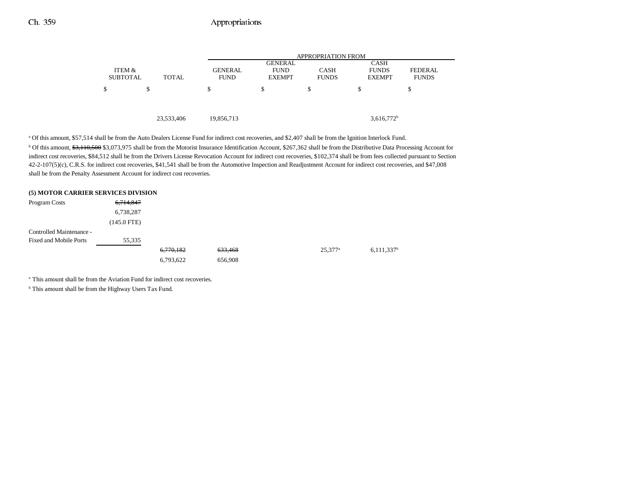|                 |              |                | <b>APPROPRIATION FROM</b> |              |                          |                |  |  |
|-----------------|--------------|----------------|---------------------------|--------------|--------------------------|----------------|--|--|
|                 |              |                | <b>GENERAL</b>            |              | <b>CASH</b>              |                |  |  |
| ITEM &          |              | <b>GENERAL</b> | <b>FUND</b>               | <b>CASH</b>  | <b>FUNDS</b>             | <b>FEDERAL</b> |  |  |
| <b>SUBTOTAL</b> | <b>TOTAL</b> | <b>FUND</b>    | <b>EXEMPT</b>             | <b>FUNDS</b> | <b>EXEMPT</b>            | <b>FUNDS</b>   |  |  |
| \$              | \$           | S              | \$                        | \$           | S                        | P              |  |  |
|                 |              |                |                           |              |                          |                |  |  |
|                 |              |                |                           |              |                          |                |  |  |
|                 |              |                |                           |              |                          |                |  |  |
|                 | 23,533,406   | 19,856,713     |                           |              | $3,616,772$ <sup>b</sup> |                |  |  |

a Of this amount, \$57,514 shall be from the Auto Dealers License Fund for indirect cost recoveries, and \$2,407 shall be from the Ignition Interlock Fund. <sup>b</sup> Of this amount, \$3,110,500 \$3,073,975 shall be from the Motorist Insurance Identification Account, \$267,362 shall be from the Distributive Data Processing Account for indirect cost recoveries, \$84,512 shall be from the Drivers License Revocation Account for indirect cost recoveries, \$102,374 shall be from fees collected pursuant to Section 42-2-107(5)(c), C.R.S. for indirect cost recoveries, \$41,541 shall be from the Automotive Inspection and Readjustment Account for indirect cost recoveries, and \$47,008 shall be from the Penalty Assessment Account for indirect cost recoveries.

| (5) MOTOR CARRIER SERVICES DIVISION |                       |           |                    |                  |                          |
|-------------------------------------|-----------------------|-----------|--------------------|------------------|--------------------------|
| Program Costs                       | 6, 714, 847           |           |                    |                  |                          |
|                                     | 6,738,287             |           |                    |                  |                          |
|                                     | $(145.0 \text{ FTE})$ |           |                    |                  |                          |
| Controlled Maintenance -            |                       |           |                    |                  |                          |
| <b>Fixed and Mobile Ports</b>       | 55,335                |           |                    |                  |                          |
|                                     |                       | 6,770,182 | <del>633,468</del> | $25.377^{\circ}$ | $6,111,337$ <sup>b</sup> |
|                                     |                       | 6,793,622 | 656.908            |                  |                          |

<sup>a</sup> This amount shall be from the Aviation Fund for indirect cost recoveries.

<sup>b</sup> This amount shall be from the Highway Users Tax Fund.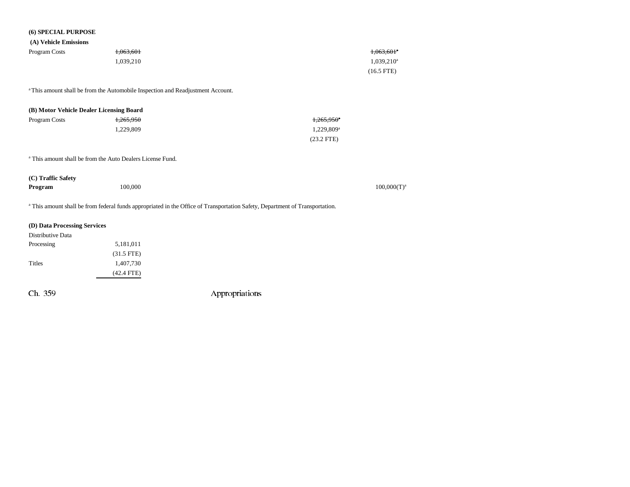| (6) SPECIAL PURPOSE                      |                                                                                            |                                                                                                                              |
|------------------------------------------|--------------------------------------------------------------------------------------------|------------------------------------------------------------------------------------------------------------------------------|
| (A) Vehicle Emissions                    |                                                                                            |                                                                                                                              |
| Program Costs                            | 1,063,601                                                                                  | $1,063,601$ <sup>a</sup>                                                                                                     |
|                                          | 1,039,210                                                                                  | 1,039,210 <sup>a</sup>                                                                                                       |
|                                          |                                                                                            | $(16.5$ FTE)                                                                                                                 |
|                                          |                                                                                            |                                                                                                                              |
|                                          | <sup>a</sup> This amount shall be from the Automobile Inspection and Readjustment Account. |                                                                                                                              |
| (B) Motor Vehicle Dealer Licensing Board |                                                                                            |                                                                                                                              |
| Program Costs                            | 1,265,950                                                                                  | $1,265,950$ <sup>*</sup>                                                                                                     |
|                                          | 1,229,809                                                                                  | 1,229,809 <sup>a</sup>                                                                                                       |
|                                          |                                                                                            | $(23.2$ FTE)                                                                                                                 |
|                                          |                                                                                            |                                                                                                                              |
|                                          | <sup>a</sup> This amount shall be from the Auto Dealers License Fund.                      |                                                                                                                              |
| (C) Traffic Safety                       |                                                                                            |                                                                                                                              |
| Program                                  | 100,000                                                                                    | $100,000(T)^a$                                                                                                               |
|                                          |                                                                                            |                                                                                                                              |
|                                          |                                                                                            | a This amount shall be from federal funds appropriated in the Office of Transportation Safety, Department of Transportation. |
|                                          |                                                                                            |                                                                                                                              |
| (D) Data Processing Services             |                                                                                            |                                                                                                                              |
| Distributive Data                        |                                                                                            |                                                                                                                              |
| Processing                               | 5,181,011                                                                                  |                                                                                                                              |
|                                          | $(31.5$ FTE)                                                                               |                                                                                                                              |
| Titles                                   | 1,407,730                                                                                  |                                                                                                                              |
|                                          | $(42.4$ FTE)                                                                               |                                                                                                                              |
| Ch. 359                                  |                                                                                            | Appropriations                                                                                                               |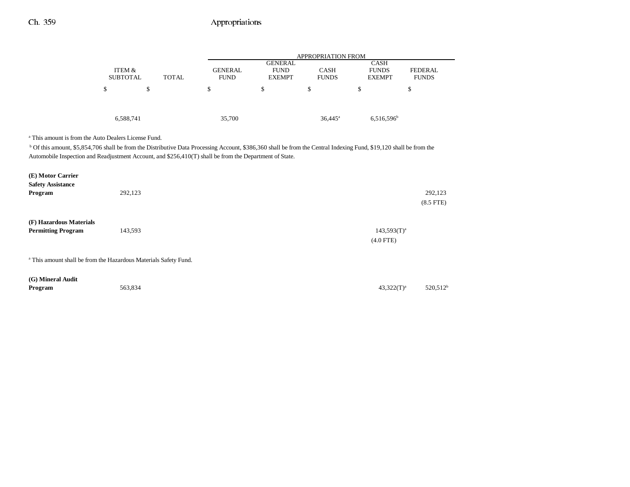|        | <b>APPROPRIATION FROM</b>     |                              |                             |                               |  |  |
|--------|-------------------------------|------------------------------|-----------------------------|-------------------------------|--|--|
|        | <b>GENERAL</b>                |                              | <b>CASH</b>                 |                               |  |  |
|        |                               |                              |                             | <b>FEDERAL</b>                |  |  |
|        |                               |                              |                             | <b>FUNDS</b>                  |  |  |
| \$     | \$                            | S                            |                             | Φ                             |  |  |
|        |                               |                              |                             |                               |  |  |
|        |                               |                              |                             |                               |  |  |
| 35,700 |                               | $36,445^{\rm a}$             | $6,516,596^b$               |                               |  |  |
|        | <b>GENERAL</b><br><b>FUND</b> | <b>FUND</b><br><b>EXEMPT</b> | <b>CASH</b><br><b>FUNDS</b> | <b>FUNDS</b><br><b>EXEMPT</b> |  |  |

a This amount is from the Auto Dealers License Fund.

<sup>b</sup> Of this amount, \$5,854,706 shall be from the Distributive Data Processing Account, \$386,360 shall be from the Central Indexing Fund, \$19,120 shall be from the Automobile Inspection and Readjustment Account, and \$256,410(T) shall be from the Department of State.

| (E) Motor Carrier<br><b>Safety Assistance</b><br>Program                    | 292,123 |                                 | 292,123<br>$(8.5$ FTE $)$ |  |  |  |
|-----------------------------------------------------------------------------|---------|---------------------------------|---------------------------|--|--|--|
| (F) Hazardous Materials<br><b>Permitting Program</b>                        | 143,593 | $143,593(T)^{a}$<br>$(4.0$ FTE) |                           |  |  |  |
| <sup>a</sup> This amount shall be from the Hazardous Materials Safety Fund. |         |                                 |                           |  |  |  |
| (G) Mineral Audit<br>Program                                                | 563,834 | $43,322(T)^a$                   | 520,512 <sup>b</sup>      |  |  |  |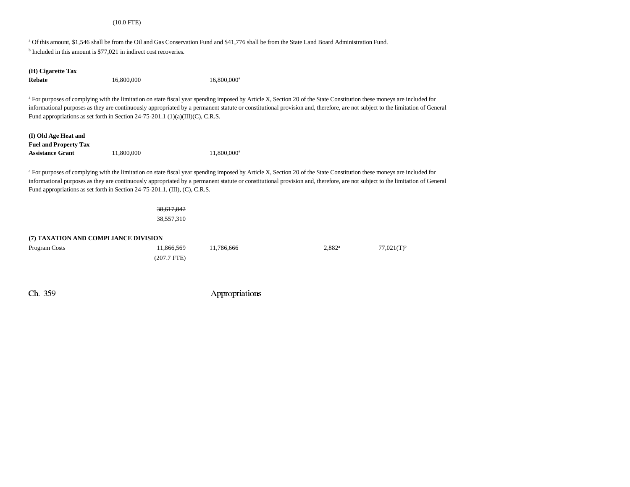#### (10.0 FTE)

a Of this amount, \$1,546 shall be from the Oil and Gas Conservation Fund and \$41,776 shall be from the State Land Board Administration Fund. <sup>b</sup> Included in this amount is \$77,021 in indirect cost recoveries.

#### **(H) Cigarette Tax Rebate**

16,800,000 16,800,000<sup>a</sup>

<sup>a</sup> For purposes of complying with the limitation on state fiscal year spending imposed by Article X, Section 20 of the State Constitution these moneys are included for informational purposes as they are continuously appropriated by a permanent statute or constitutional provision and, therefore, are not subject to the limitation of General Fund appropriations as set forth in Section 24-75-201.1 (1)(a)(III)(C), C.R.S.

| (I) Old Age Heat and         |            |                         |
|------------------------------|------------|-------------------------|
| <b>Fuel and Property Tax</b> |            |                         |
| <b>Assistance Grant</b>      | 11,800,000 | 11,800,000 <sup>a</sup> |

<sup>a</sup> For purposes of complying with the limitation on state fiscal year spending imposed by Article X, Section 20 of the State Constitution these moneys are included for informational purposes as they are continuously appropriated by a permanent statute or constitutional provision and, therefore, are not subject to the limitation of General Fund appropriations as set forth in Section 24-75-201.1, (III), (C), C.R.S.

#### 38,617,842

38,557,310

#### **(7) TAXATION AND COMPLIANCE DIVISION**

| Program Costs | 11.866.569  | 11.786.666 | $2,882^{\rm a}$ | $77,021(T)^{b}$ |
|---------------|-------------|------------|-----------------|-----------------|
|               | (207.7 FTE) |            |                 |                 |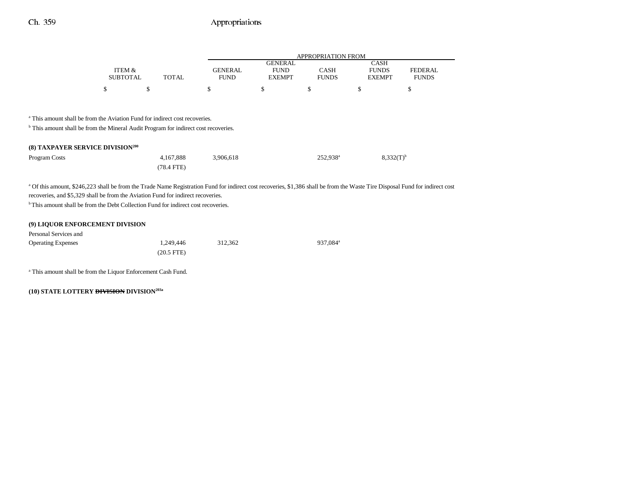|                 |       | APPROPRIATION FROM |               |              |               |                |  |  |  |
|-----------------|-------|--------------------|---------------|--------------|---------------|----------------|--|--|--|
|                 |       |                    | GENERAL.      |              | CASH          |                |  |  |  |
| ITEM &          |       | <b>GENERAL</b>     | <b>FUND</b>   | CASH         | <b>FUNDS</b>  | <b>FEDERAL</b> |  |  |  |
| <b>SUBTOTAL</b> | TOTAL | <b>FUND</b>        | <b>EXEMPT</b> | <b>FUNDS</b> | <b>EXEMPT</b> | <b>FUNDS</b>   |  |  |  |
|                 |       |                    |               |              |               |                |  |  |  |
|                 |       |                    |               |              |               |                |  |  |  |

a This amount shall be from the Aviation Fund for indirect cost recoveries.

b This amount shall be from the Mineral Audit Program for indirect cost recoveries.

## **(8) TAXPAYER SERVICE DIVISION200**

| Program Costs | 4.167.888  | 3.906.618 | 252.938 <sup>a</sup> | $8,332(T)^{b}$ |
|---------------|------------|-----------|----------------------|----------------|
|               | (78.4 FTE) |           |                      |                |

a Of this amount, \$246,223 shall be from the Trade Name Registration Fund for indirect cost recoveries, \$1,386 shall be from the Waste Tire Disposal Fund for indirect cost recoveries, and \$5,329 shall be from the Aviation Fund for indirect recoveries.

<sup>b</sup> This amount shall be from the Debt Collection Fund for indirect cost recoveries.

### **(9) LIQUOR ENFORCEMENT DIVISION** Personal Services andOperating Expenses 1,249,446 312,362 937,084<sup>a</sup> (20.5 FTE)

a This amount shall be from the Liquor Enforcement Cash Fund.

**(10) STATE LOTTERY DIVISION DIVISION203a**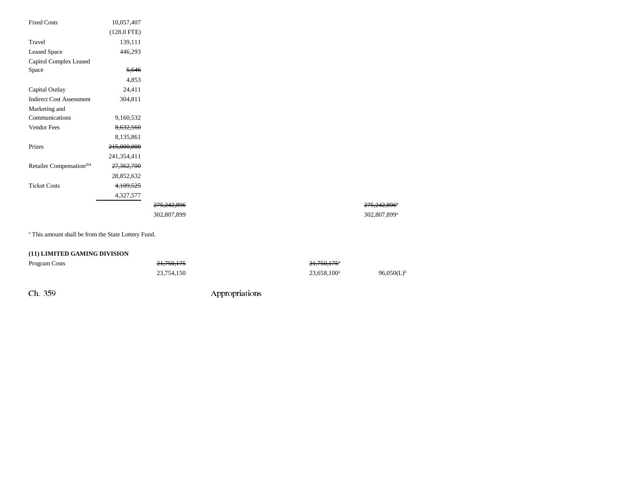| <b>Fixed Costs</b>                   | 10,057,407       |                        |  |
|--------------------------------------|------------------|------------------------|--|
|                                      | $(128.0$ FTE $)$ |                        |  |
| Travel                               | 139,111          |                        |  |
| <b>Leased Space</b>                  | 446,293          |                        |  |
| Capitol Complex Leased               |                  |                        |  |
| Space                                | 5,546            |                        |  |
|                                      | 4,853            |                        |  |
| Capital Outlay                       | 24,411           |                        |  |
| <b>Indirect Cost Assessment</b>      | 304,811          |                        |  |
| Marketing and                        |                  |                        |  |
| Communications                       | 9,160,532        |                        |  |
| Vendor Fees                          | 8,632,560        |                        |  |
|                                      | 8,135,861        |                        |  |
| Prizes                               | 215,000,000      |                        |  |
|                                      | 241,354,411      |                        |  |
| Retailer Compensation <sup>204</sup> | 27,362,700       |                        |  |
|                                      | 28,852,632       |                        |  |
| <b>Ticket Costs</b>                  | 4,109,525        |                        |  |
|                                      | 4,327,577        |                        |  |
|                                      |                  | <del>275,242,896</del> |  |
|                                      |                  | 302,807,899            |  |
|                                      |                  |                        |  |

a This amount shall be from the State Lottery Fund.

### **(11) LIMITED GAMING DIVISION**

| Program Costs | 21.750.175 | 21.750.175 <sup>*</sup> |                        |
|---------------|------------|-------------------------|------------------------|
|               | 23,754,150 | 23,658,100 <sup>a</sup> | 96,050(L) <sup>b</sup> |

Ch. 359 Appropriations

275,242,896\* 302,807,899<sup>a</sup>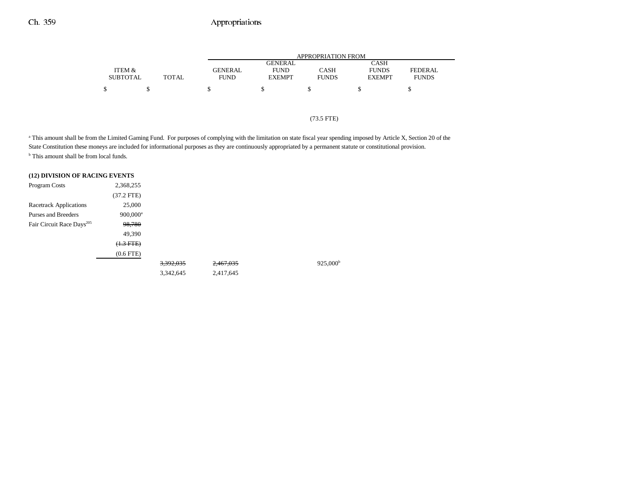|                 |       |                | APPROPRIATION FROM |              |               |              |  |  |  |  |
|-----------------|-------|----------------|--------------------|--------------|---------------|--------------|--|--|--|--|
|                 |       |                | CASH<br>GENERAL    |              |               |              |  |  |  |  |
| ITEM &          |       | <b>GENERAL</b> | <b>FUND</b>        | CASH         | <b>FUNDS</b>  | FEDERAL.     |  |  |  |  |
| <b>SUBTOTAL</b> | TOTAL | FUND           | <b>EXEMPT</b>      | <b>FUNDS</b> | <b>EXEMPT</b> | <b>FUNDS</b> |  |  |  |  |
| \$              |       |                |                    |              |               |              |  |  |  |  |

### (73.5 FTE)

<sup>a</sup> This amount shall be from the Limited Gaming Fund. For purposes of complying with the limitation on state fiscal year spending imposed by Article X, Section 20 of the State Constitution these moneys are included for informational purposes as they are continuously appropriated by a permanent statute or constitutional provision. <sup>b</sup> This amount shall be from local funds.

#### **(12) DIVISION OF RACING EVENTS**

| Program Costs                         | 2,368,255              |           |           |                   |
|---------------------------------------|------------------------|-----------|-----------|-------------------|
|                                       | $(37.2$ FTE)           |           |           |                   |
| <b>Racetrack Applications</b>         | 25,000                 |           |           |                   |
| <b>Purses and Breeders</b>            | $900,000$ <sup>a</sup> |           |           |                   |
| Fair Circuit Race Days <sup>205</sup> | 98,780                 |           |           |                   |
|                                       | 49,390                 |           |           |                   |
|                                       | $(1.3 FFE)$            |           |           |                   |
|                                       | $(0.6$ FTE $)$         |           |           |                   |
|                                       |                        | 3,392,035 | 2,467,035 | $925,000^{\rm b}$ |
|                                       |                        | 3,342,645 | 2,417,645 |                   |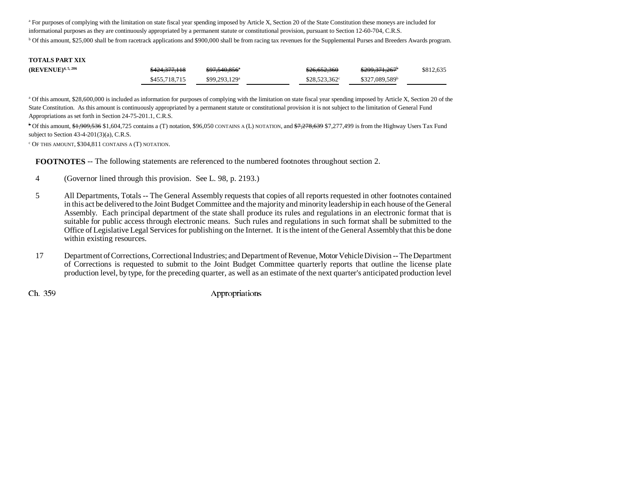<sup>a</sup> For purposes of complying with the limitation on state fiscal year spending imposed by Article X, Section 20 of the State Constitution these moneys are included for informational purposes as they are continuously appropriated by a permanent statute or constitutional provision, pursuant to Section 12-60-704, C.R.S.

b Of this amount, \$25,000 shall be from racetrack applications and \$900,000 shall be from racing tax revenues for the Supplemental Purses and Breeders Awards program.

| <b>TOTALS PART XIX</b>  |               |                            |                       |                            |           |
|-------------------------|---------------|----------------------------|-----------------------|----------------------------|-----------|
| $(REVENUE)^{4, 5, 206}$ | \$424,377,118 | \$97,540,856 <sup>a</sup>  | \$26,652,360          | \$299,371,267 <sup>b</sup> | \$812,635 |
|                         | \$455,718,715 | $$99,293,129$ <sup>a</sup> | $$28,523,362^{\circ}$ | \$327,089,589 <sup>b</sup> |           |

a Of this amount, \$28,600,000 is included as information for purposes of complying with the limitation on state fiscal year spending imposed by Article X, Section 20 of the State Constitution. As this amount is continuously appropriated by a permanent statute or constitutional provision it is not subject to the limitation of General Fund Appropriations as set forth in Section 24-75-201.1, C.R.S.

<sup>b</sup> Of this amount, \$1,909,536 \$1,604,725 contains a (T) notation, \$96,050 CONTAINS A (L) NOTATION, and \$7,278,639 \$7,277,499 is from the Highway Users Tax Fund subject to Section 43-4-201(3)(a), C.R.S.

 $c$  Of this amount, \$304,811 contains a  $(T)$  notation.

**FOOTNOTES** -- The following statements are referenced to the numbered footnotes throughout section 2.

- 4 (Governor lined through this provision. See L. 98, p. 2193.)
- 5 All Departments, Totals -- The General Assembly requests that copies of all reports requested in other footnotes contained in this act be delivered to the Joint Budget Committee and the majority and minority leadership in each house of the General Assembly. Each principal department of the state shall produce its rules and regulations in an electronic format that is suitable for public access through electronic means. Such rules and regulations in such format shall be submitted to the Office of Legislative Legal Services for publishing on the Internet. It is the intent of the General Assembly that this be done within existing resources.
- 17 Department of Corrections, Correctional Industries; and Department of Revenue, Motor Vehicle Division -- The Department of Corrections is requested to submit to the Joint Budget Committee quarterly reports that outline the license plate production level, by type, for the preceding quarter, as well as an estimate of the next quarter's anticipated production level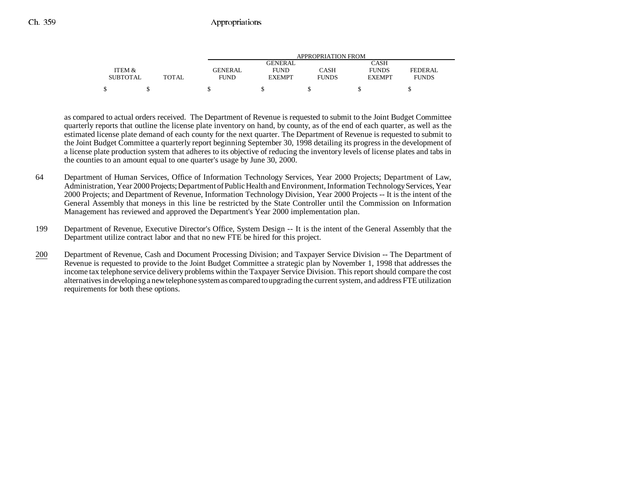|                 |       | APPROPRIATION FROM |                |              |               |              |  |  |  |
|-----------------|-------|--------------------|----------------|--------------|---------------|--------------|--|--|--|
|                 |       |                    | <b>GENERAL</b> |              | CASH          |              |  |  |  |
| ITEM &          |       | GENERAL            | <b>FUND</b>    | CASH         | <b>FUNDS</b>  | FEDERAL      |  |  |  |
| <b>SUBTOTAL</b> | TOTAL | <b>FUND</b>        | <b>EXEMPT</b>  | <b>FUNDS</b> | <b>EXEMPT</b> | <b>FUNDS</b> |  |  |  |
|                 |       |                    |                |              |               |              |  |  |  |

as compared to actual orders received. The Department of Revenue is requested to submit to the Joint Budget Committee quarterly reports that outline the license plate inventory on hand, by county, as of the end of each quarter, as well as the estimated license plate demand of each county for the next quarter. The Department of Revenue is requested to submit to the Joint Budget Committee a quarterly report beginning September 30, 1998 detailing its progress in the development of a license plate production system that adheres to its objective of reducing the inventory levels of license plates and tabs in the counties to an amount equal to one quarter's usage by June 30, 2000.

- 64 Department of Human Services, Office of Information Technology Services, Year 2000 Projects; Department of Law, Administration, Year 2000 Projects; Department of Public Health and Environment, Information Technology Services, Year 2000 Projects; and Department of Revenue, Information Technology Division, Year 2000 Projects -- It is the intent of the General Assembly that moneys in this line be restricted by the State Controller until the Commission on Information Management has reviewed and approved the Department's Year 2000 implementation plan.
- 199 Department of Revenue, Executive Director's Office, System Design -- It is the intent of the General Assembly that the Department utilize contract labor and that no new FTE be hired for this project.
- 200 Department of Revenue, Cash and Document Processing Division; and Taxpayer Service Division -- The Department of Revenue is requested to provide to the Joint Budget Committee a strategic plan by November 1, 1998 that addresses the income tax telephone service delivery problems within the Taxpayer Service Division. This report should compare the cost alternatives in developing a new telephone system as compared to upgrading the current system, and address FTE utilization requirements for both these options.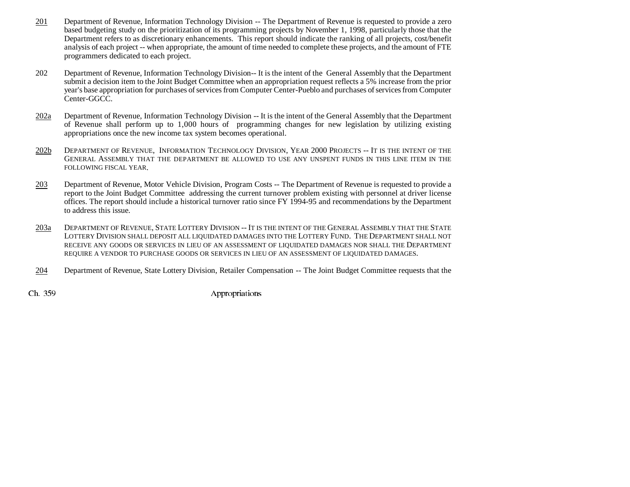- 201 Department of Revenue, Information Technology Division -- The Department of Revenue is requested to provide a zero based budgeting study on the prioritization of its programming projects by November 1, 1998, particularly those that the Department refers to as discretionary enhancements. This report should indicate the ranking of all projects, cost/benefit analysis of each project -- when appropriate, the amount of time needed to complete these projects, and the amount of FTE programmers dedicated to each project.
- 202 Department of Revenue, Information Technology Division-- It is the intent of the General Assembly that the Department submit a decision item to the Joint Budget Committee when an appropriation request reflects a 5% increase from the prior year's base appropriation for purchases of services from Computer Center-Pueblo and purchases of services from Computer Center-GGCC.
- 202a Department of Revenue, Information Technology Division -- It is the intent of the General Assembly that the Department of Revenue shall perform up to 1,000 hours of programming changes for new legislation by utilizing existing appropriations once the new income tax system becomes operational.
- 202b DEPARTMENT OF REVENUE, INFORMATION TECHNOLOGY DIVISION, YEAR 2000 PROJECTS -- IT IS THE INTENT OF THE GENERAL ASSEMBLY THAT THE DEPARTMENT BE ALLOWED TO USE ANY UNSPENT FUNDS IN THIS LINE ITEM IN THE FOLLOWING FISCAL YEAR.
- 203 Department of Revenue, Motor Vehicle Division, Program Costs -- The Department of Revenue is requested to provide a report to the Joint Budget Committee addressing the current turnover problem existing with personnel at driver license offices. The report should include a historical turnover ratio since FY 1994-95 and recommendations by the Department to address this issue.
- 203a DEPARTMENT OF REVENUE, STATE LOTTERY DIVISION -- IT IS THE INTENT OF THE GENERAL ASSEMBLY THAT THE STATE LOTTERY DIVISION SHALL DEPOSIT ALL LIQUIDATED DAMAGES INTO THE LOTTERY FUND. THE DEPARTMENT SHALL NOT RECEIVE ANY GOODS OR SERVICES IN LIEU OF AN ASSESSMENT OF LIQUIDATED DAMAGES NOR SHALL THE DEPARTMENT REQUIRE A VENDOR TO PURCHASE GOODS OR SERVICES IN LIEU OF AN ASSESSMENT OF LIQUIDATED DAMAGES.
- 204Department of Revenue, State Lottery Division, Retailer Compensation -- The Joint Budget Committee requests that the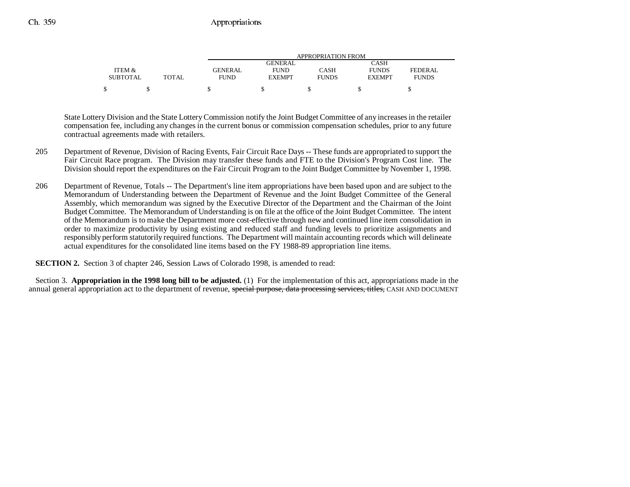|                 |              | APPROPRIATION FROM |                |              |               |              |  |  |
|-----------------|--------------|--------------------|----------------|--------------|---------------|--------------|--|--|
|                 |              |                    | <b>GENERAL</b> |              | CASH          |              |  |  |
| ITEM &          |              | <b>GENERAL</b>     | <b>FUND</b>    | CASH         | <b>FUNDS</b>  | FEDERAL      |  |  |
| <b>SUBTOTAL</b> | <b>TOTAL</b> | <b>FUND</b>        | <b>EXEMPT</b>  | <b>FUNDS</b> | <b>EXEMPT</b> | <b>FUNDS</b> |  |  |
| ሖ               |              |                    |                |              |               |              |  |  |

State Lottery Division and the State Lottery Commission notify the Joint Budget Committee of any increases in the retailer compensation fee, including any changes in the current bonus or commission compensation schedules, prior to any future contractual agreements made with retailers.

- 205 Department of Revenue, Division of Racing Events, Fair Circuit Race Days -- These funds are appropriated to support the Fair Circuit Race program. The Division may transfer these funds and FTE to the Division's Program Cost line. The Division should report the expenditures on the Fair Circuit Program to the Joint Budget Committee by November 1, 1998.
- 206 Department of Revenue, Totals -- The Department's line item appropriations have been based upon and are subject to the Memorandum of Understanding between the Department of Revenue and the Joint Budget Committee of the General Assembly, which memorandum was signed by the Executive Director of the Department and the Chairman of the Joint Budget Committee. The Memorandum of Understanding is on file at the office of the Joint Budget Committee. The intent of the Memorandum is to make the Department more cost-effective through new and continued line item consolidation in order to maximize productivity by using existing and reduced staff and funding levels to prioritize assignments and responsibly perform statutorily required functions. The Department will maintain accounting records which will delineate actual expenditures for the consolidated line items based on the FY 1988-89 appropriation line items.

**SECTION 2.** Section 3 of chapter 246, Session Laws of Colorado 1998, is amended to read:

Section 3. **Appropriation in the 1998 long bill to be adjusted.** (1) For the implementation of this act, appropriations made in the annual general appropriation act to the department of revenue, special purpose, data processing services, titles, CASH AND DOCUMENT